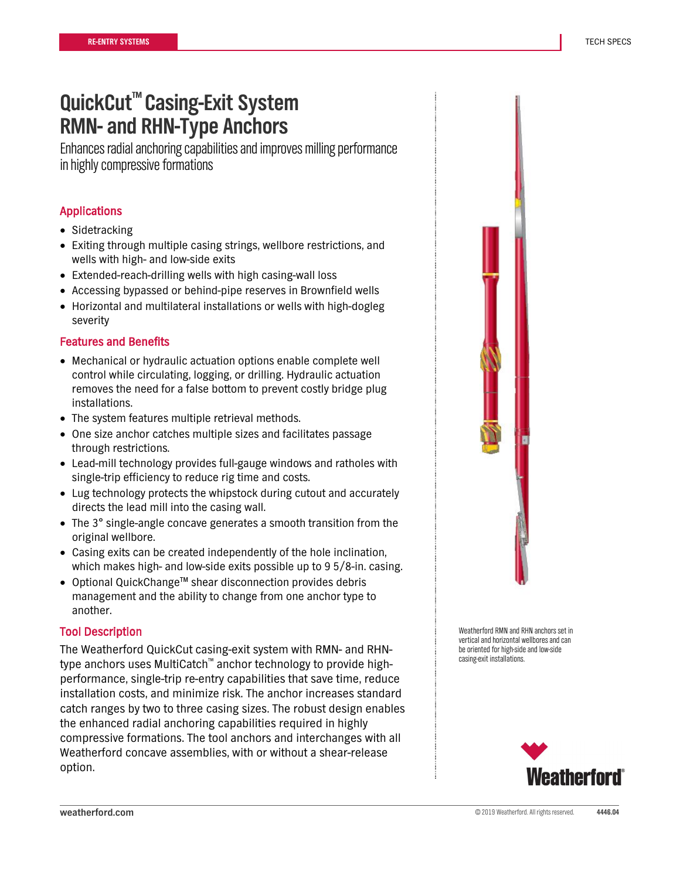Enhances radial anchoring capabilities and improves milling performance in highly compressive formations

### Applications

- Sidetracking
- Exiting through multiple casing strings, wellbore restrictions, and wells with high- and low-side exits
- Extended-reach-drilling wells with high casing-wall loss
- Accessing bypassed or behind-pipe reserves in Brownfield wells
- Horizontal and multilateral installations or wells with high-dogleg severity

#### Features and Benefits

- Mechanical or hydraulic actuation options enable complete well control while circulating, logging, or drilling. Hydraulic actuation removes the need for a false bottom to prevent costly bridge plug installations.
- The system features multiple retrieval methods.
- One size anchor catches multiple sizes and facilitates passage through restrictions.
- Lead-mill technology provides full-gauge windows and ratholes with single-trip efficiency to reduce rig time and costs.
- Lug technology protects the whipstock during cutout and accurately directs the lead mill into the casing wall.
- The 3° single-angle concave generates a smooth transition from the original wellbore.
- Casing exits can be created independently of the hole inclination, which makes high- and low-side exits possible up to 9 5/8-in. casing.
- Optional QuickChange™ shear disconnection provides debris management and the ability to change from one anchor type to another.

#### Tool Description

The Weatherford QuickCut casing-exit system with RMN- and RHNtype anchors uses MultiCatch™ anchor technology to provide highperformance, single-trip re-entry capabilities that save time, reduce installation costs, and minimize risk. The anchor increases standard catch ranges by two to three casing sizes. The robust design enables the enhanced radial anchoring capabilities required in highly compressive formations. The tool anchors and interchanges with all Weatherford concave assemblies, with or without a shear-release option.



Weatherford RMN and RHN anchors set in vertical and horizontal wellbores and can be oriented for high-side and low-side casing-exit installations.

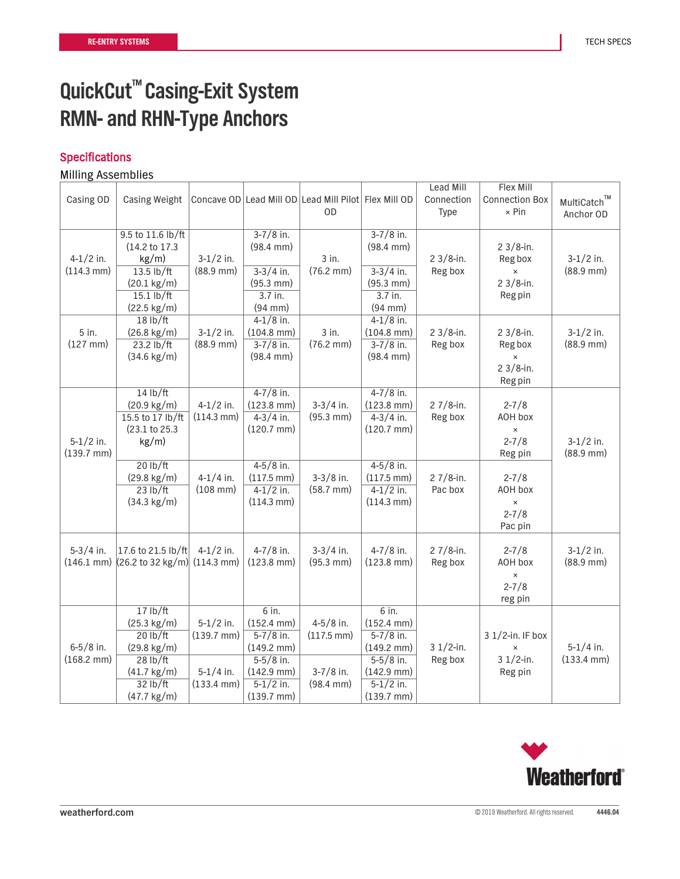### **Specifications**

|                        |                                                 |                        |                        |                                                      |                        | Lead Mill    | Flex Mill             |                      |
|------------------------|-------------------------------------------------|------------------------|------------------------|------------------------------------------------------|------------------------|--------------|-----------------------|----------------------|
| Casing OD              | Casing Weight                                   |                        |                        | Concave OD Lead Mill OD Lead Mill Pilot Flex Mill OD |                        | Connection   | <b>Connection Box</b> | MultiCatch™          |
|                        |                                                 |                        |                        | OD                                                   |                        | Type         | $\times$ Pin          | Anchor OD            |
|                        |                                                 |                        |                        |                                                      |                        |              |                       |                      |
|                        | 9.5 to 11.6 lb/ft                               |                        | $3 - 7/8$ in.          |                                                      | $3 - 7/8$ in.          |              |                       |                      |
|                        | (14.2 to 17.3)                                  |                        | $(98.4 \, \text{mm})$  |                                                      | $(98.4 \, \text{mm})$  |              | $2 \frac{3}{8}$ -in.  |                      |
| $4-1/2$ in.            | $kg/m$ )                                        | $3-1/2$ in.            |                        | 3 in.                                                |                        | $23/8$ -in.  | Reg box               | $3-1/2$ in.          |
| $(114.3 \text{ mm})$   | $13.5$ lb/ft                                    | $(88.9$ mm $)$         | $3-3/4$ in.            | $(76.2 \, \text{mm})$                                | $3-3/4$ in.            | Reg box      | $\times$              | $(88.9$ mm $)$       |
|                        | $(20.1 \text{ kg/m})$                           |                        | $(95.3 \, \text{mm})$  |                                                      | $(95.3 \, \text{mm})$  |              | $23/8$ -in.           |                      |
|                        | $15.1$ lb/ft                                    |                        | 3.7 in.                |                                                      | 3.7 in.                |              | Reg pin               |                      |
|                        | $(22.5 \text{ kg/m})$                           |                        | $(94$ mm $)$           |                                                      | $(94$ mm $)$           |              |                       |                      |
|                        | 18 lb/ft                                        |                        | $4-1/8$ in.            |                                                      | $4-1/8$ in.            |              |                       |                      |
| 5 in.                  | $(26.8 \text{ kg/m})$                           | $3-1/2$ in.            | $(104.8$ mm $)$        | 3 in.                                                | $(104.8 \text{ mm})$   | $23/8$ -in.  | $23/8$ -in.           | $3-1/2$ in.          |
| $(127$ mm $)$          | $23.2$ lb/ft                                    | $(88.9$ mm $)$         | $3 - 7/8$ in.          | $(76.2 \, \text{mm})$                                | $3 - 7/8$ in.          | Reg box      | Reg box               | $(88.9$ mm $)$       |
|                        | $(34.6 \text{ kg/m})$                           |                        | $(98.4 \, \text{mm})$  |                                                      | $(98.4 \, \text{mm})$  |              | $\times$              |                      |
|                        |                                                 |                        |                        |                                                      |                        |              | $23/8$ -in.           |                      |
|                        |                                                 |                        |                        |                                                      |                        |              | Reg pin               |                      |
|                        | 14 lb/ft                                        |                        | $4 - 7/8$ in.          |                                                      | $4 - 7/8$ in.          |              |                       |                      |
|                        | $(20.9 \text{ kg/m})$                           | $4-1/2$ in.            | $(123.8$ mm $)$        | $3-3/4$ in.                                          | $(123.8 \text{ mm})$   | 2 $7/8$ -in. | $2 - 7/8$             |                      |
|                        | 15.5 to 17 lb/ft                                | $(114.3 \text{ mm})$   | $4 - 3/4$ in.          | $(95.3 \, \text{mm})$                                | $4 - 3/4$ in.          | Reg box      | AOH box               |                      |
|                        | (23.1 to 25.3)                                  |                        | $(120.7 \text{ mm})$   |                                                      | $(120.7 \text{ mm})$   |              | $\times$              |                      |
| $5-1/2$ in.            | kg/m)                                           |                        |                        |                                                      |                        |              | $2 - 7/8$             | $3-1/2$ in.          |
| $(139.7 \, \text{mm})$ |                                                 |                        |                        |                                                      |                        |              | Reg pin               | $(88.9$ mm $)$       |
|                        | 20 lb/ft                                        |                        | $4 - 5/8$ in.          |                                                      | $4 - 5/8$ in.          |              |                       |                      |
|                        | $(29.8 \text{ kg/m})$                           | $4-1/4$ in.            | $(117.5 \text{ mm})$   | $3-3/8$ in.                                          | $(117.5 \text{ mm})$   | $27/8$ -in.  | $2 - 7/8$             |                      |
|                        | 23 lb/ft                                        | $(108$ mm $)$          | $4-1/2$ in.            | $(58.7 \, \text{mm})$                                | $4-1/2$ in.            | Pac box      | AOH box               |                      |
|                        | $(34.3 \text{ kg/m})$                           |                        | $(114.3 \text{ mm})$   |                                                      | $(114.3 \text{ mm})$   |              | $\pmb{\times}$        |                      |
|                        |                                                 |                        |                        |                                                      |                        |              | $2 - 7/8$             |                      |
|                        |                                                 |                        |                        |                                                      |                        |              | Pac pin               |                      |
|                        |                                                 |                        |                        |                                                      |                        |              |                       |                      |
| $5-3/4$ in.            | 17.6 to 21.5 lb/ft                              | $4-1/2$ in.            | $4 - 7/8$ in.          | $3-3/4$ in.                                          | $4 - 7/8$ in.          | 2 $7/8$ -in. | $2 - 7/8$             | $3-1/2$ in.          |
| $(146.1 \text{ mm})$   | $(26.2 \text{ to } 32 \text{ kg/m})$ (114.3 mm) |                        | $(123.8 \text{ mm})$   | $(95.3 \, \text{mm})$                                | $(123.8 \text{ mm})$   | Reg box      | AOH box               | $(88.9$ mm $)$       |
|                        |                                                 |                        |                        |                                                      |                        |              | $\pmb{\times}$        |                      |
|                        |                                                 |                        |                        |                                                      |                        |              | $2 - 7/8$             |                      |
|                        |                                                 |                        |                        |                                                      |                        |              | reg pin               |                      |
|                        | 17 lb/ft                                        |                        | 6 in.                  |                                                      | 6 in.                  |              |                       |                      |
|                        | $(25.3 \text{ kg/m})$                           | $5-1/2$ in.            | $(152.4 \text{ mm})$   | $4 - 5/8$ in.                                        | $(152.4 \text{ mm})$   |              |                       |                      |
|                        | 20 lb/ft                                        | $(139.7 \, \text{mm})$ | $5 - 7/8$ in.          | $(117.5 \, \text{mm})$                               | $5 - 7/8$ in.          |              | 3 1/2-in. IF box      |                      |
| $6 - 5/8$ in.          | $(29.8 \text{ kg/m})$                           |                        | $(149.2 \text{ mm})$   |                                                      | $(149.2 \text{ mm})$   | $31/2$ -in.  | $\times$              | $5-1/4$ in.          |
| $(168.2 \, \text{mm})$ | 28 lb/ft                                        |                        | $5-5/8$ in.            |                                                      | $5-5/8$ in.            | Reg box      | $31/2$ -in.           | $(133.4 \text{ mm})$ |
|                        | $(41.7 \text{ kg/m})$                           | $5-1/4$ in.            | $(142.9$ mm $)$        | $3 - 7/8$ in.                                        | $(142.9$ mm $)$        |              | Reg pin               |                      |
|                        | 32 lb/ft                                        | $(133.4 \text{ mm})$   | $5-1/2$ in.            | $(98.4 \, \text{mm})$                                | $5-1/2$ in.            |              |                       |                      |
|                        | $(47.7 \text{ kg/m})$                           |                        | $(139.7 \, \text{mm})$ |                                                      | $(139.7 \, \text{mm})$ |              |                       |                      |

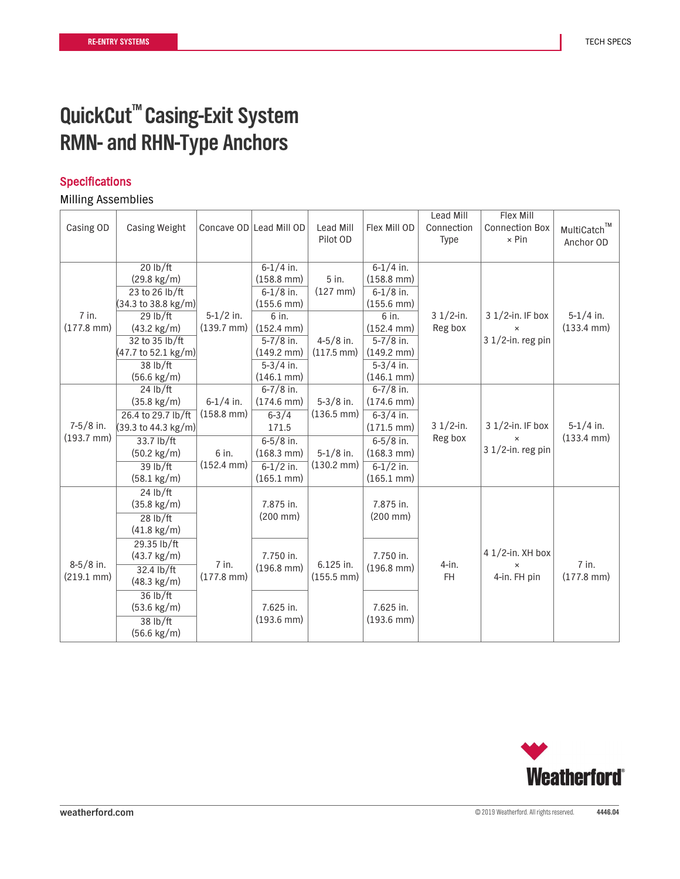### **Specifications**

|                                     | Casing OD            | <b>Casing Weight</b>  |                               | Concave OD Lead Mill OD | Lead Mill<br>Pilot OD               | Flex Mill OD           | Lead Mill<br>Connection<br><b>Type</b> | Flex Mill<br><b>Connection Box</b><br>$\times$ Pin | MultiCatch™<br>Anchor OD |
|-------------------------------------|----------------------|-----------------------|-------------------------------|-------------------------|-------------------------------------|------------------------|----------------------------------------|----------------------------------------------------|--------------------------|
|                                     |                      | 20 lb/ft              |                               | $6 - 1/4$ in.           |                                     | $6 - 1/4$ in.          |                                        |                                                    |                          |
|                                     |                      | $(29.8 \text{ kg/m})$ |                               | $(158.8$ mm $)$         | 5 in.                               | $(158.8$ mm $)$        |                                        |                                                    |                          |
|                                     |                      | 23 to 26 lb/ft        |                               | $6 - 1/8$ in.           | $(127$ mm $)$                       | $6 - 1/8$ in.          |                                        |                                                    |                          |
|                                     |                      | (34.3 to 38.8 kg/m)   |                               | $(155.6 \, \text{mm})$  |                                     | $(155.6$ mm $)$        |                                        |                                                    |                          |
|                                     | $7$ in.              | $29$ lb/ft            | $5-1/2$ in.                   | 6 in.                   |                                     | 6 in.                  | $31/2$ -in.                            | $31/2$ -in. IF box                                 | $5-1/4$ in.              |
|                                     | $(177.8$ mm $)$      | $(43.2 \text{ kg/m})$ | $(139.7 \text{ mm})$          | $(152.4 \text{ mm})$    |                                     | $(152.4 \text{ mm})$   | Reg box                                | $\times$                                           | $(133.4 \text{ mm})$     |
|                                     |                      | 32 to 35 lb/ft        |                               | $5 - 7/8$ in.           | $4 - 5/8$ in.                       | $5 - 7/8$ in.          |                                        | $31/2$ -in. reg pin                                |                          |
|                                     |                      | (47.7 to 52.1 kg/m)   |                               | $(149.2 \text{ mm})$    | $(117.5 \text{ mm})$                | $(149.2 \text{ mm})$   |                                        |                                                    |                          |
|                                     |                      | 38 lb/ft              |                               | $5-3/4$ in.             |                                     | $5-3/4$ in.            |                                        |                                                    |                          |
|                                     |                      | $(56.6 \text{ kg/m})$ |                               | $(146.1 \text{ mm})$    |                                     | $(146.1 \text{ mm})$   |                                        |                                                    |                          |
|                                     |                      | 24 lb/ft              |                               | $6 - 7/8$ in.           |                                     | $6 - 7/8$ in.          |                                        |                                                    |                          |
|                                     |                      | $(35.8 \text{ kg/m})$ | $6 - 1/4$ in.                 | $(174.6$ mm $)$         | $5-3/8$ in.<br>$(136.5 \text{ mm})$ | $(174.6$ mm $)$        |                                        |                                                    |                          |
|                                     |                      | 26.4 to 29.7 lb/ft    | $(158.8$ mm $)$               | $6 - 3/4$               |                                     | $6 - 3/4$ in.          |                                        |                                                    |                          |
|                                     | $7-5/8$ in.          | (39.3 to 44.3 kg/m)   |                               | 171.5                   |                                     | $(171.5 \text{ mm})$   | $31/2$ -in.                            | $31/2$ -in. IF box                                 | $5-1/4$ in.              |
|                                     | $(193.7 \text{ mm})$ | 33.7 lb/ft            |                               | $6 - 5/8$ in.           |                                     | $6 - 5/8$ in.          | Reg box                                | $\pmb{\times}$                                     | $(133.4 \text{ mm})$     |
|                                     |                      | $(50.2 \text{ kg/m})$ | 6 in.<br>$(152.4 \text{ mm})$ | $(168.3 \text{ mm})$    | $5-1/8$ in.<br>$(130.2 \text{ mm})$ | $(168.3 \text{ mm})$   |                                        | $31/2$ -in. reg pin                                |                          |
|                                     |                      | 39 lb/ft              |                               | $6 - 1/2$ in.           |                                     | $6 - 1/2$ in.          |                                        |                                                    |                          |
|                                     |                      | $(58.1 \text{ kg/m})$ |                               | $(165.1 \, \text{mm})$  |                                     | $(165.1 \, \text{mm})$ |                                        |                                                    |                          |
|                                     |                      | 24 lb/ft              |                               |                         |                                     |                        |                                        |                                                    |                          |
|                                     |                      | $(35.8 \text{ kg/m})$ |                               | 7.875 in.               |                                     | 7.875 in.              |                                        |                                                    |                          |
|                                     |                      | 28 lb/ft              |                               | $(200 \, \text{mm})$    |                                     | $(200 \, \text{mm})$   |                                        |                                                    |                          |
|                                     |                      | $(41.8 \text{ kg/m})$ |                               |                         |                                     |                        |                                        |                                                    |                          |
|                                     |                      | 29.35 lb/ft           |                               |                         |                                     |                        |                                        |                                                    |                          |
|                                     |                      | $(43.7 \text{ kg/m})$ |                               | 7.750 in.               |                                     | 7.750 in.              |                                        | 4 $1/2$ -in. XH box                                |                          |
| $8-5/8$ in.<br>$(219.1 \text{ mm})$ |                      | 32.4 lb/ft            | $7$ in.                       | $(196.8 \text{ mm})$    | 6.125 in.                           | $(196.8$ mm)           | $4$ -in.                               | $\pmb{\times}$                                     | 7 in.                    |
|                                     |                      | $(48.3 \text{ kg/m})$ | $(177.8$ mm)                  |                         | $(155.5 \text{ mm})$                |                        | <b>FH</b>                              | 4-in. FH pin                                       | $(177.8$ mm $)$          |
|                                     | $36$ lb/ft           |                       |                               |                         |                                     |                        |                                        |                                                    |                          |
|                                     |                      | $(53.6 \text{ kg/m})$ |                               | 7.625 in.               |                                     | 7.625 in.              |                                        |                                                    |                          |
|                                     |                      | 38 lb/ft              |                               | $(193.6 \text{ mm})$    |                                     | $(193.6 \text{ mm})$   |                                        |                                                    |                          |
|                                     |                      | $(56.6 \text{ kg/m})$ |                               |                         |                                     |                        |                                        |                                                    |                          |
|                                     |                      |                       |                               |                         |                                     |                        |                                        |                                                    |                          |

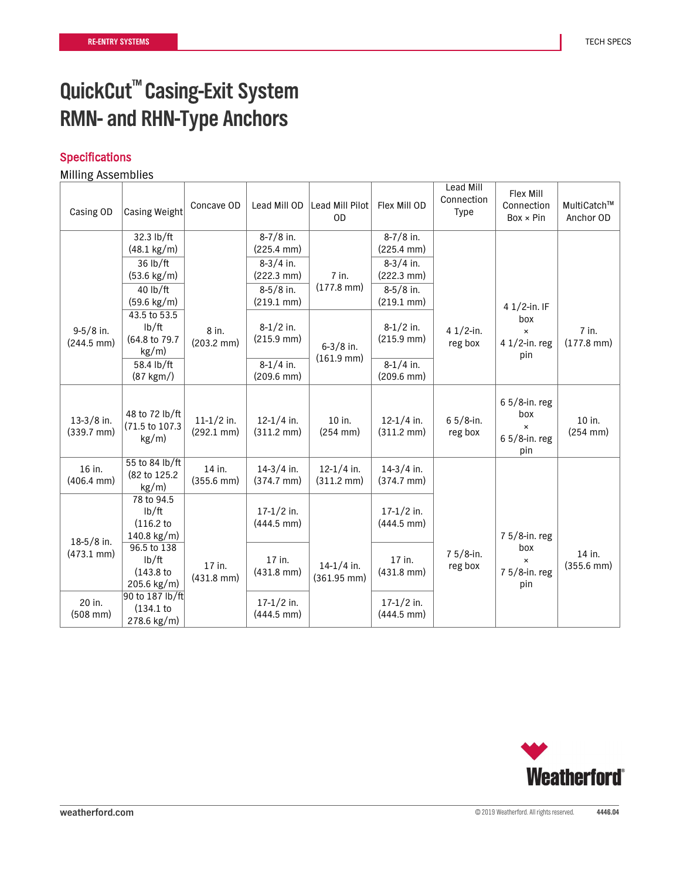### Specifications

| Casing OD                            | <b>Casing Weight</b>                               | Concave OD                           | Lead Mill OD                           | Lead Mill Pilot<br><b>OD</b>          | Flex Mill OD                           | Lead Mill<br>Connection<br><b>Type</b> | Flex Mill<br>Connection<br>$Box \times Pin$                      | MultiCatch™<br>Anchor OD       |
|--------------------------------------|----------------------------------------------------|--------------------------------------|----------------------------------------|---------------------------------------|----------------------------------------|----------------------------------------|------------------------------------------------------------------|--------------------------------|
|                                      | 32.3 lb/ft<br>$(48.1 \text{ kg/m})$                |                                      | $8-7/8$ in.<br>$(225.4 \text{ mm})$    |                                       | $8 - 7/8$ in.<br>$(225.4 \text{ mm})$  |                                        |                                                                  |                                |
|                                      | 36 lb/ft<br>$(53.6 \text{ kg/m})$                  |                                      | $8-3/4$ in.<br>$(222.3 \text{ mm})$    | $7$ in.                               | $8-3/4$ in.<br>$(222.3 \text{ mm})$    |                                        |                                                                  |                                |
|                                      | 40 lb/ft<br>$(59.6 \text{ kg/m})$                  |                                      | $8-5/8$ in.<br>$(219.1 \text{ mm})$    | $(177.8$ mm)                          | $8-5/8$ in.<br>$(219.1 \text{ mm})$    |                                        | 4 $1/2$ -in. IF                                                  |                                |
| $9-5/8$ in.<br>$(244.5 \text{ mm})$  | 43.5 to 53.5<br>lb/ft<br>(64.8 to 79.7<br>$kg/m$ ) | 8 in.<br>$(203.2 \text{ mm})$        | $8-1/2$ in.<br>$(215.9 \text{ mm})$    | $6 - 3/8$ in.                         | $8-1/2$ in.<br>$(215.9 \text{ mm})$    | 4 $1/2$ -in.<br>reg box                | box<br>$\pmb{\times}$<br>4 1/2-in. reg<br>pin                    | 7 in.<br>$(177.8$ mm $)$       |
|                                      | 58.4 lb/ft<br>$(87 \text{ kgm})$                   |                                      | $8-1/4$ in.<br>$(209.6 \text{ mm})$    | $(161.9 \text{ mm})$                  | $8-1/4$ in.<br>$(209.6 \text{ mm})$    |                                        |                                                                  |                                |
| $13-3/8$ in.<br>$(339.7 \text{ mm})$ | 48 to 72 lb/ft<br>(71.5 to 107.3<br>kg/m)          | $11-1/2$ in.<br>$(292.1 \text{ mm})$ | $12 - 1/4$ in.<br>$(311.2 \text{ mm})$ | 10 in.<br>$(254 \, \text{mm})$        | $12 - 1/4$ in.<br>$(311.2 \text{ mm})$ | $65/8$ -in.<br>reg box                 | $65/8$ -in. reg<br>box<br>$\pmb{\times}$<br>6 5/8-in. reg<br>pin | 10 in.<br>$(254$ mm $)$        |
| 16 in.<br>$(406.4 \text{ mm})$       | 55 to 84 lb/ft<br>(82 to 125.2)<br>$kg/m$ )        | 14 in.<br>$(355.6 \text{ mm})$       | $14-3/4$ in.<br>$(374.7 \text{ mm})$   | $12-1/4$ in.<br>$(311.2 \text{ mm})$  | $14-3/4$ in.<br>$(374.7 \text{ mm})$   |                                        |                                                                  |                                |
| $18-5/8$ in.                         | 78 to 94.5<br>lb/ft<br>(116.2)<br>140.8 kg/m)      |                                      | $17 - 1/2$ in.<br>$(444.5$ mm $)$      |                                       | $17-1/2$ in.<br>$(444.5$ mm)           |                                        | 7 5/8-in. reg                                                    |                                |
| $(473.1 \text{ mm})$                 | 96.5 to 138<br>lb/ft<br>(143.8)<br>$205.6$ kg/m)   | 17 in.<br>$(431.8$ mm $)$            | 17 in.<br>$(431.8$ mm $)$              | $14-1/4$ in.<br>$(361.95 \text{ mm})$ | 17 in.<br>$(431.8$ mm $)$              | $75/8$ -in.<br>reg box                 | box<br>$\times$<br>7 5/8-in. reg<br>pin                          | 14 in.<br>$(355.6 \text{ mm})$ |
| 20 in.<br>$(508 \, \text{mm})$       | 90 to 187 lb/ft<br>(134.1)<br>278.6 kg/m)          |                                      | $17-1/2$ in.<br>$(444.5$ mm $)$        |                                       | $17 - 1/2$ in.<br>$(444.5$ mm $)$      |                                        |                                                                  |                                |

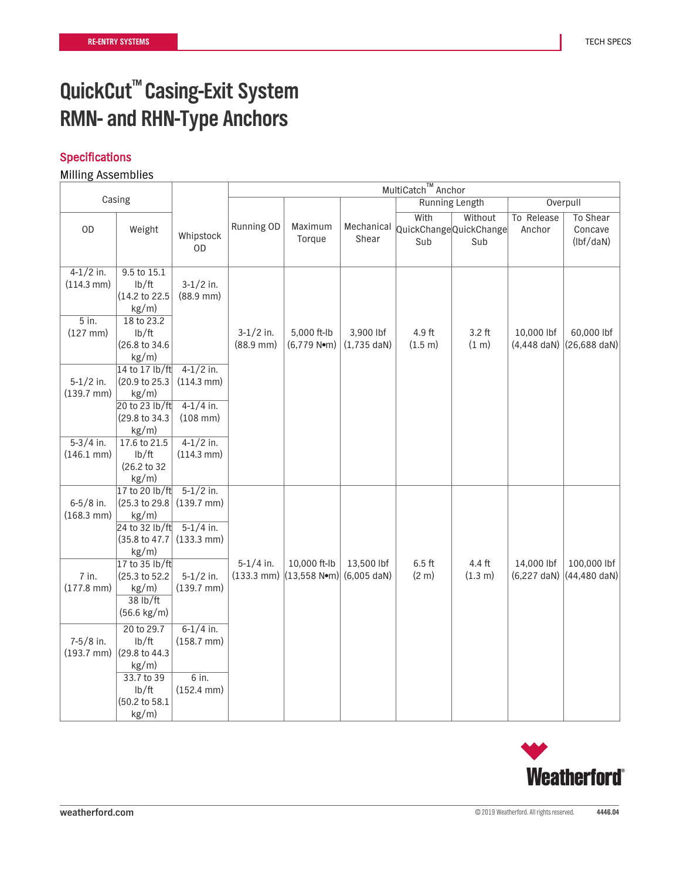### **Specifications**

|                                                                            |                                                                                                                                               |                                                                                                            |                                      |                                                 |                                    | MultiCatch™ Anchor                    |                   |                             |                                        |
|----------------------------------------------------------------------------|-----------------------------------------------------------------------------------------------------------------------------------------------|------------------------------------------------------------------------------------------------------------|--------------------------------------|-------------------------------------------------|------------------------------------|---------------------------------------|-------------------|-----------------------------|----------------------------------------|
| Casing                                                                     |                                                                                                                                               |                                                                                                            |                                      |                                                 |                                    | Running Length                        |                   |                             | Overpull                               |
| OD                                                                         | Weight                                                                                                                                        | Whipstock<br>0D                                                                                            | Running OD                           | Maximum<br>Torque                               | Mechanical<br>Shear                | With<br>QuickChangeQuickChange<br>Sub | Without<br>Sub    | To Release<br>Anchor        | To Shear<br>Concave<br>$(lbf/$ daN $)$ |
| $4-1/2$ in.<br>$(114.3 \text{ mm})$<br>5 in.<br>$(127$ mm $)$              | 9.5 to 15.1<br>lb/ft<br>(14.2 to 22.5<br>$kg/m$ )<br>18 to 23.2<br>lb/ft<br>(26.8 to 34.6<br>$kg/m$ )                                         | $3-1/2$ in.<br>$(88.9 \, \text{mm})$                                                                       | $3-1/2$ in.<br>$(88.9 \, \text{mm})$ | 5,000 ft-lb<br>$(6,779 N$ <sup>o</sup> m)       | 3,900 lbf<br>$(1,735 \text{ dan})$ | 4.9 ft<br>(1.5 m)                     | $3.2$ ft<br>(1 m) | 10,000 lbf<br>$(4,448$ daN) | 60,000 lbf<br>$(26, 688$ daN)          |
| $5-1/2$ in.<br>$(139.7 \text{ mm})$<br>$5-3/4$ in.<br>$(146.1 \text{ mm})$ | 14 to 17 lb/ft<br>(20.9 to 25.3<br>$kg/m$ )<br>20 to 23 lb/ft<br>(29.8 to 34.3)<br>kg/m)<br>17.6 to 21.5<br>lb/ft<br>(26.2 to 32)<br>$kg/m$ ) | $4-1/2$ in.<br>$(114.3 \text{ mm})$<br>$4-1/4$ in.<br>$(108$ mm $)$<br>$4-1/2$ in.<br>$(114.3 \text{ mm})$ |                                      |                                                 |                                    |                                       |                   |                             |                                        |
| $6 - 5/8$ in.<br>$(168.3 \text{ mm})$                                      | 17 to 20 lb/ft<br>(25.3 to 29.8)<br>$kg/m$ )<br>24 to 32 lb/ft<br>(35.8 to 47.7)<br>kg/m)<br>17 to 35 lb/ft                                   | $5-1/2$ in.<br>$(139.7 \, \text{mm})$<br>$5-1/4$ in.<br>$(133.3 \text{ mm})$                               | $5-1/4$ in.                          | 10,000 ft-lb                                    | 13,500 lbf                         | $6.5$ ft                              | 4.4 ft            | 14,000 lbf                  | 100,000 lbf                            |
| 7 in.<br>$(177.8$ mm)                                                      | (25.3 to 52.2)<br>$kg/m$ )<br>38 lb/ft<br>$(56.6 \text{ kg/m})$                                                                               | $5-1/2$ in.<br>$(139.7 \, \text{mm})$                                                                      | $(133.3 \text{ mm})$                 | $(13,558 \text{ N} \cdot \text{m})$ (6,005 daN) |                                    | (2 <sub>m</sub> )                     | (1.3 m)           | $(6,227 \text{ dan})$       | $(44, 480$ daN)                        |
| $7-5/8$ in.<br>$(193.7 \text{ mm})$                                        | 20 to 29.7<br>lb/ft<br>(29.8 to 44.3)<br>$kg/m$ )<br>33.7 to 39<br>lb/ft<br>(50.2 to 58.1<br>$kg/m$ )                                         | $6 - 1/4$ in.<br>$(158.7 \, \text{mm})$<br>$6$ in.<br>$(152.4 \text{ mm})$                                 |                                      |                                                 |                                    |                                       |                   |                             |                                        |